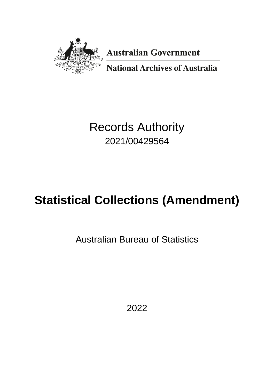

**Australian Government** 

**National Archives of Australia** 

# Records Authority 2021/00429564

# **Statistical Collections (Amendment)**

Australian Bureau of Statistics

2022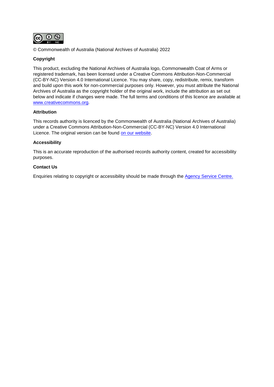

© Commonwealth of Australia (National Archives of Australia) 2022

#### **Copyright**

This product, excluding the National Archives of Australia logo, Commonwealth Coat of Arms or registered trademark, has been licensed under a Creative Commons Attribution-Non-Commercial (CC-BY-NC) Version 4.0 International Licence. You may share, copy, redistribute, remix, transform and build upon this work for non-commercial purposes only. However, you must attribute the National Archives of Australia as the copyright holder of the original work, include the attribution as set out below and indicate if changes were made. The full terms and conditions of this licence are available at [www.creativecommons.org.](http://www.creativecommons.org/)

#### **Attribution**

This records authority is licenced by the Commonwealth of Australia (National Archives of Australia) under a Creative Commons Attribution-Non-Commercial (CC-BY-NC) Version 4.0 International Licence. The original version can be found on [our website](http://www.naa.gov.au/).

#### **Accessibility**

This is an accurate reproduction of the authorised records authority content, created for accessibility purposes.

#### **Contact Us**

Enquiries relating to copyright or accessibility should be made through the [Agency Service Centre.](http://reftracker.naa.gov.au/reft000.aspx?pmi=jpGkKEm4vT)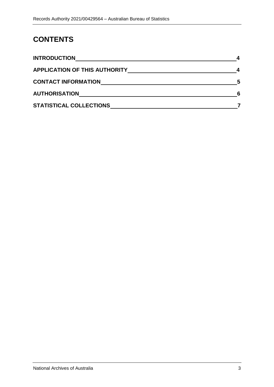# **CONTENTS**

| <b>INTRODUCTION</b>                  |   |
|--------------------------------------|---|
| <b>APPLICATION OF THIS AUTHORITY</b> |   |
| <b>CONTACT INFORMATION</b>           | 5 |
| <b>AUTHORISATION</b>                 | 6 |
| <b>STATISTICAL COLLECTIONS</b>       |   |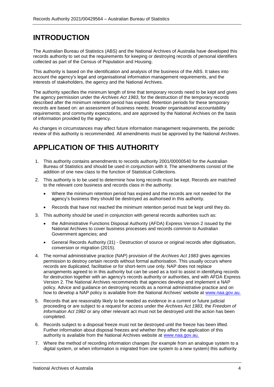### <span id="page-3-0"></span>**INTRODUCTION**

The Australian Bureau of Statistics (ABS) and the National Archives of Australia have developed this records authority to set out the requirements for keeping or destroying records of personal identifiers collected as part of the Census of Population and Housing.

This authority is based on the identification and analysis of the business of the ABS. It takes into account the agency's legal and organisational information management requirements, and the interests of stakeholders, the agency and the National Archives.

The authority specifies the minimum length of time that temporary records need to be kept and gives the agency permission under the *Archives Act 1983*, for the destruction of the temporary records described after the minimum retention period has expired. Retention periods for these temporary records are based on: an assessment of business needs; broader organisational accountability requirements; and community expectations, and are approved by the National Archives on the basis of information provided by the agency.

As changes in circumstances may affect future information management requirements, the periodic review of this authority is recommended. All amendments must be approved by the National Archives.

# <span id="page-3-1"></span>**APPLICATION OF THIS AUTHORITY**

- 1. This authority contains amendments to records authority 2001/00000540 for the Australian Bureau of Statistics and should be used in conjunction with it. The amendments consist of the addition of one new class to the function of Statistical Collections.
- 2. This authority is to be used to determine how long records must be kept. Records are matched to the relevant core business and records class in the authority.
	- Where the minimum retention period has expired and the records are not needed for the agency's business they should be destroyed as authorised in this authority.
	- Records that have not reached the minimum retention period must be kept until they do.
- 3. This authority should be used in conjunction with general records authorities such as:
	- the Administrative Functions Disposal Authority (AFDA) Express Version 2 issued by the National Archives to cover business processes and records common to Australian Government agencies; and
	- General Records Authority (31) Destruction of source or original records after digitisation, conversion or migration (2015).
- 4. The normal administrative practice (NAP) provision of the *Archives Act 1983* gives agencies permission to destroy certain records without formal authorisation. This usually occurs where records are duplicated, facilitative or for short-term use only. NAP does not replace arrangements agreed to in this authority but can be used as a tool to assist in identifying records for destruction together with an agency's records authority or authorities, and with AFDA Express Version 2. The National Archives recommends that agencies develop and implement a NAP policy. Advice and guidance on destroying records as a normal administrative practice and on how to develop a NAP policy is available from the National Archives' website at [www.naa.gov.au.](http://www.naa.gov.au/)
- 5. Records that are reasonably likely to be needed as evidence in a current or future judicial proceeding or are subject to a request for access under the *Archives Act 1983,* the *Freedom of Information Act 1982* or any other relevant act must not be destroyed until the action has been completed.
- 6. Records subject to a disposal freeze must not be destroyed until the freeze has been lifted. Further information about disposal freezes and whether they affect the application of this authority is available from the National Archives website at [www.naa.gov.au.](http://www.naa.gov.au/)
- 7. Where the method of recording information changes (for example from an analogue system to a digital system, or when information is migrated from one system to a new system) this authority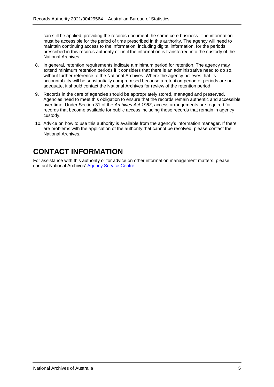can still be applied, providing the records document the same core business. The information must be accessible for the period of time prescribed in this authority. The agency will need to maintain continuing access to the information, including digital information, for the periods prescribed in this records authority or until the information is transferred into the custody of the National Archives.

- 8. In general, retention requirements indicate a minimum period for retention. The agency may extend minimum retention periods if it considers that there is an administrative need to do so, without further reference to the National Archives. Where the agency believes that its accountability will be substantially compromised because a retention period or periods are not adequate, it should contact the National Archives for review of the retention period.
- 9. Records in the care of agencies should be appropriately stored, managed and preserved. Agencies need to meet this obligation to ensure that the records remain authentic and accessible over time. Under Section 31 of the *Archives Act 1983*, access arrangements are required for records that become available for public access including those records that remain in agency custody.
- 10. Advice on how to use this authority is available from the agency's information manager. If there are problems with the application of the authority that cannot be resolved, please contact the National Archives.

# <span id="page-4-0"></span>**CONTACT INFORMATION**

For assistance with this authority or for advice on other information management matters, please contact National Archives' [Agency Service Centre.](http://reftracker.naa.gov.au/reft000.aspx?pmi=jpGkKEm4vT)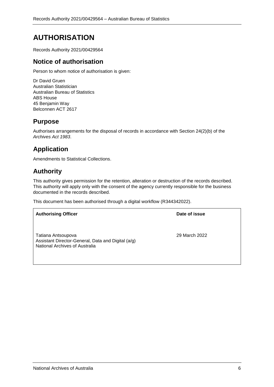# <span id="page-5-0"></span>**AUTHORISATION**

Records Authority 2021/00429564

### **Notice of authorisation**

Person to whom notice of authorisation is given:

Dr David Gruen Australian Statistician Australian Bureau of Statistics ABS House 45 Benjamin Way Belconnen ACT 2617

### **Purpose**

Authorises arrangements for the disposal of records in accordance with Section 24(2)(b) of the *Archives Act 1983*.

## **Application**

Amendments to Statistical Collections.

### **Authority**

This authority gives permission for the retention, alteration or destruction of the records described. This authority will apply only with the consent of the agency currently responsible for the business documented in the records described.

This document has been authorised through a digital workflow (R344342022).

| <b>Authorising Officer</b>                                                                                 | Date of issue |
|------------------------------------------------------------------------------------------------------------|---------------|
| Tatiana Antsoupova<br>Assistant Director-General, Data and Digital (a/g)<br>National Archives of Australia | 29 March 2022 |